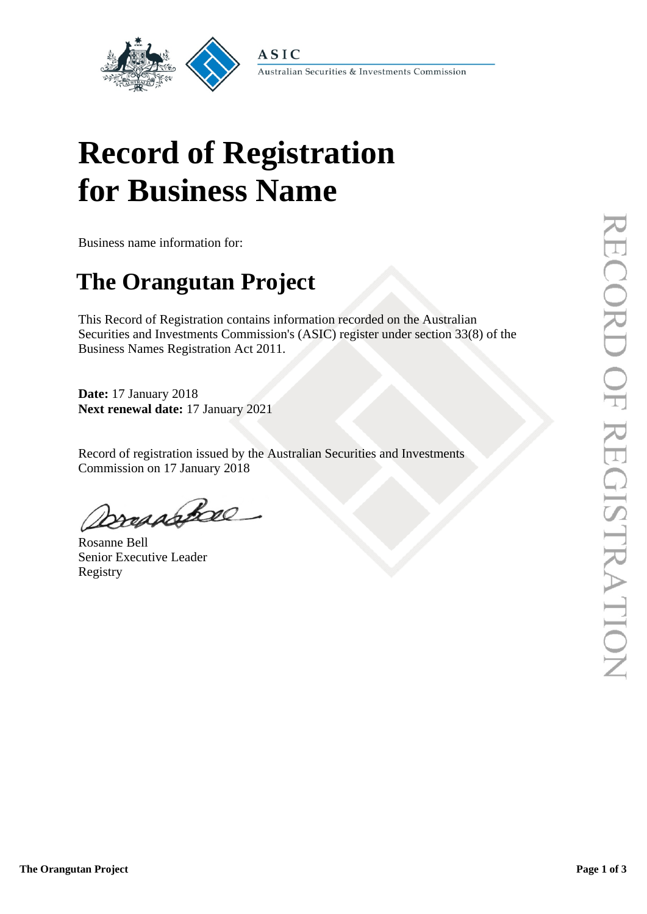

Australian Securities & Investments Commission

# **Record of Registration for Business Name**

Business name information for:

## **The Orangutan Project**

This Record of Registration contains information recorded on the Australian Securities and Investments Commission's (ASIC) register under section 33(8) of the Business Names Registration Act 2011.

**Date:** 17 January 2018 **Next renewal date:** 17 January 2021

Record of registration issued by the Australian Securities and Investments Commission on 17 January 2018

Dresashee

Rosanne Bell Senior Executive Leader Registry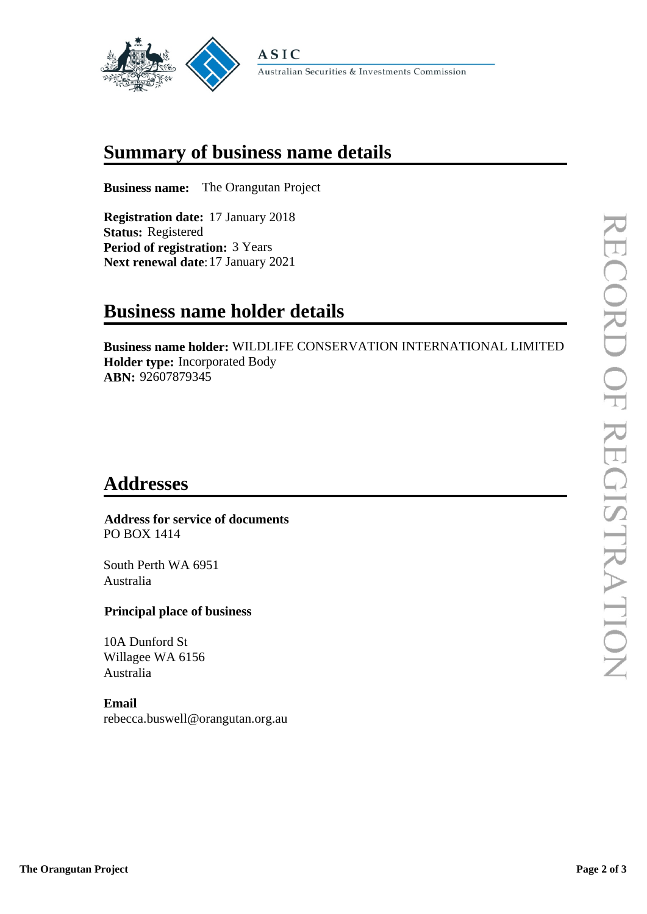

## **Summary of business name details**

**Business name:** The Orangutan Project

**Registration date:** 17 January 2018 **Status:** Registered **Period of registration:** 3 Years **Next renewal date**:17 January 2021

## **Business name holder details**

**Business name holder:** WILDLIFE CONSERVATION INTERNATIONAL LIMITED **Holder type:** Incorporated Body **ABN:** 92607879345

## **Addresses**

#### **Address for service of documents** PO BOX 1414

South Perth WA 6951 Australia

### **Principal place of business**

10A Dunford St Willagee WA 6156 Australia

#### **Email**

rebecca.buswell@orangutan.org.au